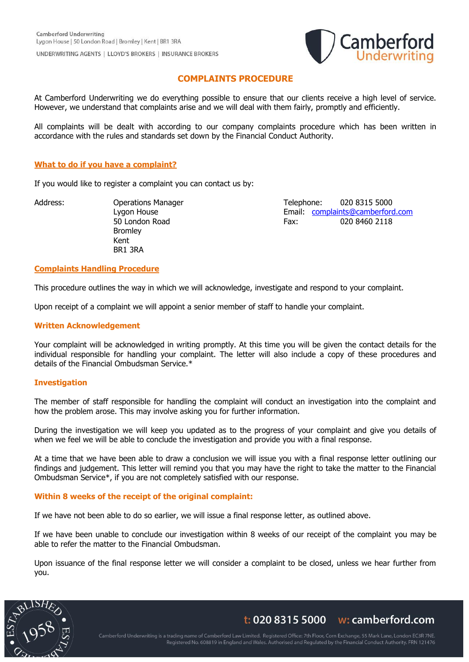

# **COMPLAINTS PROCEDURE**

At Camberford Underwriting we do everything possible to ensure that our clients receive a high level of service. However, we understand that complaints arise and we will deal with them fairly, promptly and efficiently.

All complaints will be dealt with according to our company complaints procedure which has been written in accordance with the rules and standards set down by the Financial Conduct Authority.

# **What to do if you have a complaint?**

If you would like to register a complaint you can contact us by:

Bromley Kent BR1 3RA

Address: Cherations Manager Telephone: 020 8315 5000 Lygon House Email: [complaints@camberford.com](mailto:complaints@camberford.com) 50 London Road Fax: 020 8460 2118

## **Complaints Handling Procedure**

This procedure outlines the way in which we will acknowledge, investigate and respond to your complaint.

Upon receipt of a complaint we will appoint a senior member of staff to handle your complaint.

#### **Written Acknowledgement**

Your complaint will be acknowledged in writing promptly. At this time you will be given the contact details for the individual responsible for handling your complaint. The letter will also include a copy of these procedures and details of the Financial Ombudsman Service.\*

#### **Investigation**

The member of staff responsible for handling the complaint will conduct an investigation into the complaint and how the problem arose. This may involve asking you for further information.

During the investigation we will keep you updated as to the progress of your complaint and give you details of when we feel we will be able to conclude the investigation and provide you with a final response.

At a time that we have been able to draw a conclusion we will issue you with a final response letter outlining our findings and judgement. This letter will remind you that you may have the right to take the matter to the Financial Ombudsman Service\*, if you are not completely satisfied with our response.

# **Within 8 weeks of the receipt of the original complaint:**

If we have not been able to do so earlier, we will issue a final response letter, as outlined above.

If we have been unable to conclude our investigation within 8 weeks of our receipt of the complaint you may be able to refer the matter to the Financial Ombudsman.

Upon issuance of the final response letter we will consider a complaint to be closed, unless we hear further from you.



t: 020 8315 5000  $\cdot$  w: camberford.com

Camberford Underwriting is a trading name of Camberford Law Limited. Registered Office: 7th Floor, Corn Exchange, 55 Mark Lane, London EC3R 7NE. Registered No. 608819 in England and Wales. Authorised and Regulated by the Financial Conduct Authority. FRN 121476